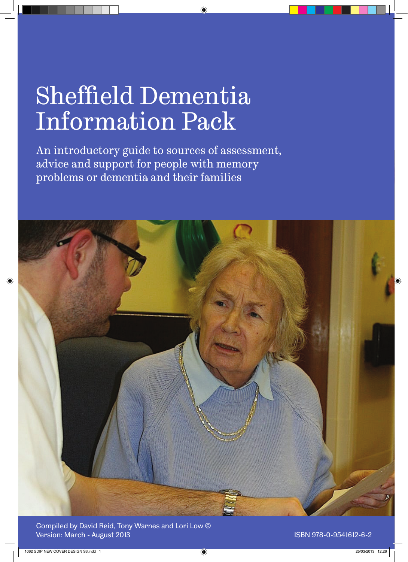# Sheffield Dementia Information Pack

An introductory guide to sources of assessment, advice and support for people with memory problems or dementia and their families



Compiled by David Reid, Tony Warnes and Lori Low © Version: March - August 2013 **ISBN 978-0-9541612-6-2** ISBN 978-0-9541612-6-2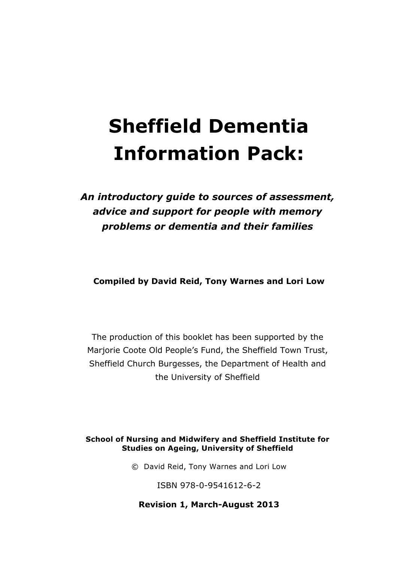## **Sheffield Dementia Information Pack:**

## *An introductory guide to sources of assessment, advice and support for people with memory problems or dementia and their families*

**Compiled by David Reid, Tony Warnes and Lori Low**

The production of this booklet has been supported by the Marjorie Coote Old People's Fund, the Sheffield Town Trust, Sheffield Church Burgesses, the Department of Health and the University of Sheffield

#### **School of Nursing and Midwifery and Sheffield Institute for Studies on Ageing, University of Sheffield**

© David Reid, Tony Warnes and Lori Low

ISBN 978-0-9541612-6-2

**Revision 1, March-August 2013**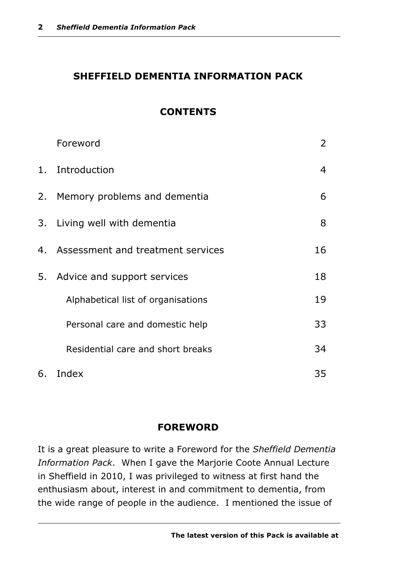#### **SHEFFIELD DEMENTIA INFORMATION PACK**

#### **CONTENTS**

|    | Foreword                             | $\overline{2}$ |
|----|--------------------------------------|----------------|
| 1. | Introduction                         | $\overline{4}$ |
|    | 2. Memory problems and dementia      | 6              |
|    | 3. Living well with dementia         | 8              |
|    | 4. Assessment and treatment services | 16             |
|    | 5. Advice and support services       | 18             |
|    | Alphabetical list of organisations   | 19             |
|    | Personal care and domestic help      | 33             |
|    | Residential care and short breaks    | 34             |
| 6. | Index                                | 35             |

#### **FOREWORD**

It is a great pleasure to write a Foreword for the *Sheffield Dementia Information Pack*. When I gave the Marjorie Coote Annual Lecture in Sheffield in 2010, I was privileged to witness at first hand the enthusiasm about, interest in and commitment to dementia, from the wide range of people in the audience. I mentioned the issue of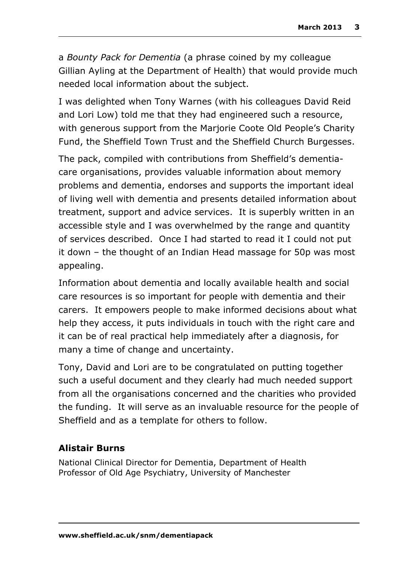a *Bounty Pack for Dementia* (a phrase coined by my colleague Gillian Ayling at the Department of Health) that would provide much needed local information about the subject.

I was delighted when Tony Warnes (with his colleagues David Reid and Lori Low) told me that they had engineered such a resource, with generous support from the Marjorie Coote Old People's Charity Fund, the Sheffield Town Trust and the Sheffield Church Burgesses.

The pack, compiled with contributions from Sheffield's dementiacare organisations, provides valuable information about memory problems and dementia, endorses and supports the important ideal of living well with dementia and presents detailed information about treatment, support and advice services. It is superbly written in an accessible style and I was overwhelmed by the range and quantity of services described. Once I had started to read it I could not put it down – the thought of an Indian Head massage for 50p was most appealing.

Information about dementia and locally available health and social care resources is so important for people with dementia and their carers. It empowers people to make informed decisions about what help they access, it puts individuals in touch with the right care and it can be of real practical help immediately after a diagnosis, for many a time of change and uncertainty.

Tony, David and Lori are to be congratulated on putting together such a useful document and they clearly had much needed support from all the organisations concerned and the charities who provided the funding. It will serve as an invaluable resource for the people of Sheffield and as a template for others to follow.

#### **Alistair Burns**

National Clinical Director for Dementia, Department of Health Professor of Old Age Psychiatry, University of Manchester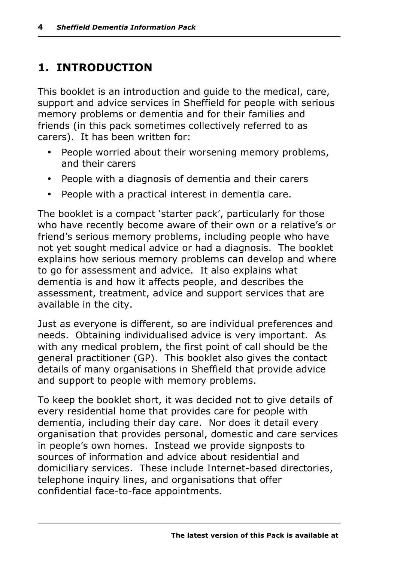## **1. INTRODUCTION**

This booklet is an introduction and guide to the medical, care, support and advice services in Sheffield for people with serious memory problems or dementia and for their families and friends (in this pack sometimes collectively referred to as carers). It has been written for:

- People worried about their worsening memory problems, and their carers
- People with a diagnosis of dementia and their carers
- People with a practical interest in dementia care.

The booklet is a compact 'starter pack', particularly for those who have recently become aware of their own or a relative's or friend's serious memory problems, including people who have not yet sought medical advice or had a diagnosis. The booklet explains how serious memory problems can develop and where to go for assessment and advice. It also explains what dementia is and how it affects people, and describes the assessment, treatment, advice and support services that are available in the city.

Just as everyone is different, so are individual preferences and needs. Obtaining individualised advice is very important. As with any medical problem, the first point of call should be the general practitioner (GP). This booklet also gives the contact details of many organisations in Sheffield that provide advice and support to people with memory problems.

To keep the booklet short, it was decided not to give details of every residential home that provides care for people with dementia, including their day care. Nor does it detail every organisation that provides personal, domestic and care services in people's own homes. Instead we provide signposts to sources of information and advice about residential and domiciliary services. These include Internet-based directories, telephone inquiry lines, and organisations that offer confidential face-to-face appointments.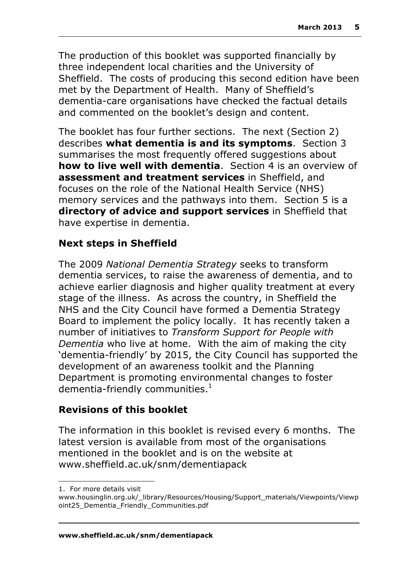The production of this booklet was supported financially by three independent local charities and the University of Sheffield. The costs of producing this second edition have been met by the Department of Health. Many of Sheffield's dementia-care organisations have checked the factual details and commented on the booklet's design and content.

The booklet has four further sections. The next (Section 2) describes **what dementia is and its symptoms**. Section 3 summarises the most frequently offered suggestions about **how to live well with dementia**. Section 4 is an overview of **assessment and treatment services** in Sheffield, and focuses on the role of the National Health Service (NHS) memory services and the pathways into them. Section 5 is a **directory of advice and support services** in Sheffield that have expertise in dementia.

#### **Next steps in Sheffield**

The 2009 *National Dementia Strategy* seeks to transform dementia services, to raise the awareness of dementia, and to achieve earlier diagnosis and higher quality treatment at every stage of the illness. As across the country, in Sheffield the NHS and the City Council have formed a Dementia Strategy Board to implement the policy locally. It has recently taken a number of initiatives to *Transform Support for People with Dementia* who live at home. With the aim of making the city 'dementia-friendly' by 2015, the City Council has supported the development of an awareness toolkit and the Planning Department is promoting environmental changes to foster dementia-friendly communities. $<sup>1</sup>$ </sup>

#### **Revisions of this booklet**

The information in this booklet is revised every 6 months. The latest version is available from most of the organisations mentioned in the booklet and is on the website at www.sheffield.ac.uk/snm/dementiapack

 $\overline{a}$ 

<sup>1.</sup> For more details visit

www.housinglin.org.uk/\_library/Resources/Housing/Support\_materials/Viewpoints/Viewp oint25\_Dementia\_Friendly\_Communities.pdf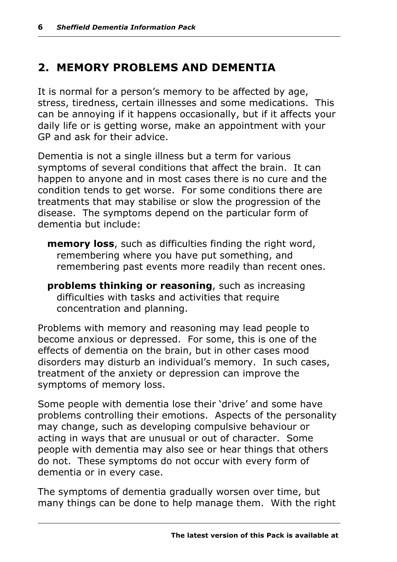## **2. MEMORY PROBLEMS AND DEMENTIA**

It is normal for a person's memory to be affected by age, stress, tiredness, certain illnesses and some medications. This can be annoying if it happens occasionally, but if it affects your daily life or is getting worse, make an appointment with your GP and ask for their advice.

Dementia is not a single illness but a term for various symptoms of several conditions that affect the brain. It can happen to anyone and in most cases there is no cure and the condition tends to get worse. For some conditions there are treatments that may stabilise or slow the progression of the disease. The symptoms depend on the particular form of dementia but include:

- **memory loss**, such as difficulties finding the right word, remembering where you have put something, and remembering past events more readily than recent ones.
- **problems thinking or reasoning**, such as increasing difficulties with tasks and activities that require concentration and planning.

Problems with memory and reasoning may lead people to become anxious or depressed. For some, this is one of the effects of dementia on the brain, but in other cases mood disorders may disturb an individual's memory. In such cases, treatment of the anxiety or depression can improve the symptoms of memory loss.

Some people with dementia lose their 'drive' and some have problems controlling their emotions. Aspects of the personality may change, such as developing compulsive behaviour or acting in ways that are unusual or out of character. Some people with dementia may also see or hear things that others do not. These symptoms do not occur with every form of dementia or in every case.

The symptoms of dementia gradually worsen over time, but many things can be done to help manage them. With the right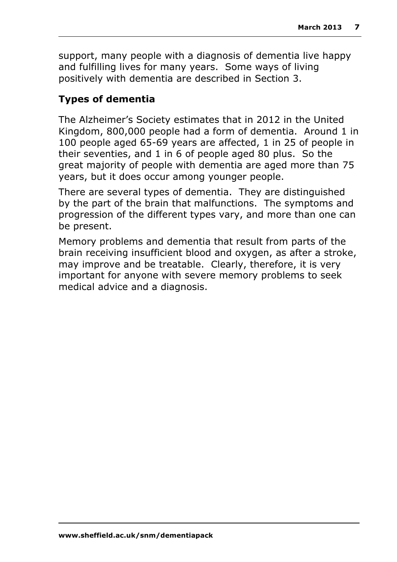support, many people with a diagnosis of dementia live happy and fulfilling lives for many years. Some ways of living positively with dementia are described in Section 3.

#### **Types of dementia**

The Alzheimer's Society estimates that in 2012 in the United Kingdom, 800,000 people had a form of dementia. Around 1 in 100 people aged 65-69 years are affected, 1 in 25 of people in their seventies, and 1 in 6 of people aged 80 plus. So the great majority of people with dementia are aged more than 75 years, but it does occur among younger people.

There are several types of dementia. They are distinguished by the part of the brain that malfunctions. The symptoms and progression of the different types vary, and more than one can be present.

Memory problems and dementia that result from parts of the brain receiving insufficient blood and oxygen, as after a stroke, may improve and be treatable. Clearly, therefore, it is very important for anyone with severe memory problems to seek medical advice and a diagnosis.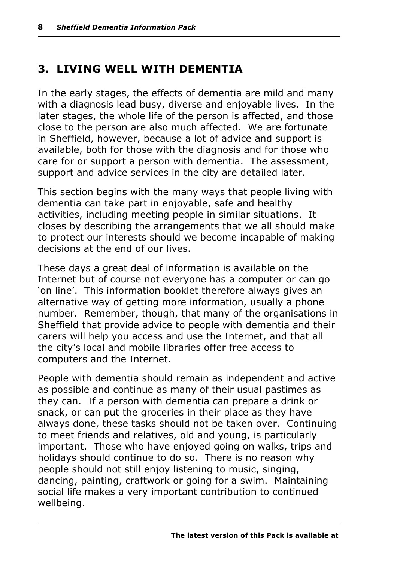## **3. LIVING WELL WITH DEMENTIA**

In the early stages, the effects of dementia are mild and many with a diagnosis lead busy, diverse and enjoyable lives. In the later stages, the whole life of the person is affected, and those close to the person are also much affected. We are fortunate in Sheffield, however, because a lot of advice and support is available, both for those with the diagnosis and for those who care for or support a person with dementia. The assessment, support and advice services in the city are detailed later.

This section begins with the many ways that people living with dementia can take part in enjoyable, safe and healthy activities, including meeting people in similar situations. It closes by describing the arrangements that we all should make to protect our interests should we become incapable of making decisions at the end of our lives.

These days a great deal of information is available on the Internet but of course not everyone has a computer or can go 'on line'. This information booklet therefore always gives an alternative way of getting more information, usually a phone number. Remember, though, that many of the organisations in Sheffield that provide advice to people with dementia and their carers will help you access and use the Internet, and that all the city's local and mobile libraries offer free access to computers and the Internet.

People with dementia should remain as independent and active as possible and continue as many of their usual pastimes as they can. If a person with dementia can prepare a drink or snack, or can put the groceries in their place as they have always done, these tasks should not be taken over. Continuing to meet friends and relatives, old and young, is particularly important. Those who have enjoyed going on walks, trips and holidays should continue to do so. There is no reason why people should not still enjoy listening to music, singing, dancing, painting, craftwork or going for a swim. Maintaining social life makes a very important contribution to continued wellbeing.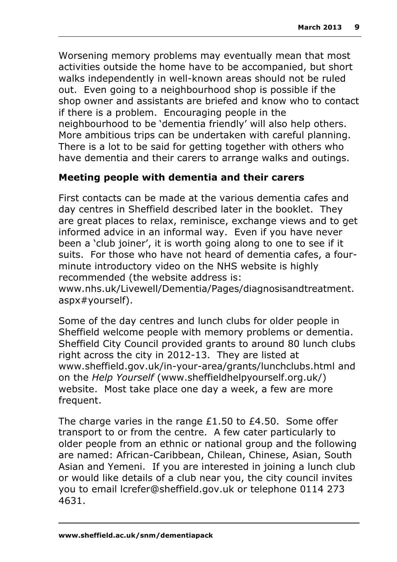Worsening memory problems may eventually mean that most activities outside the home have to be accompanied, but short walks independently in well-known areas should not be ruled out. Even going to a neighbourhood shop is possible if the shop owner and assistants are briefed and know who to contact if there is a problem. Encouraging people in the neighbourhood to be 'dementia friendly' will also help others. More ambitious trips can be undertaken with careful planning. There is a lot to be said for getting together with others who have dementia and their carers to arrange walks and outings.

#### **Meeting people with dementia and their carers**

First contacts can be made at the various dementia cafes and day centres in Sheffield described later in the booklet. They are great places to relax, reminisce, exchange views and to get informed advice in an informal way. Even if you have never been a 'club joiner', it is worth going along to one to see if it suits. For those who have not heard of dementia cafes, a fourminute introductory video on the NHS website is highly recommended (the website address is:

www.nhs.uk/Livewell/Dementia/Pages/diagnosisandtreatment. aspx#yourself).

Some of the day centres and lunch clubs for older people in Sheffield welcome people with memory problems or dementia. Sheffield City Council provided grants to around 80 lunch clubs right across the city in 2012-13. They are listed at www.sheffield.gov.uk/in-your-area/grants/lunchclubs.html and on the *Help Yourself* (www.sheffieldhelpyourself.org.uk/) website. Most take place one day a week, a few are more frequent.

The charge varies in the range £1.50 to £4.50. Some offer transport to or from the centre. A few cater particularly to older people from an ethnic or national group and the following are named: African-Caribbean, Chilean, Chinese, Asian, South Asian and Yemeni. If you are interested in joining a lunch club or would like details of a club near you, the city council invites you to email lcrefer@sheffield.gov.uk or telephone 0114 273 4631.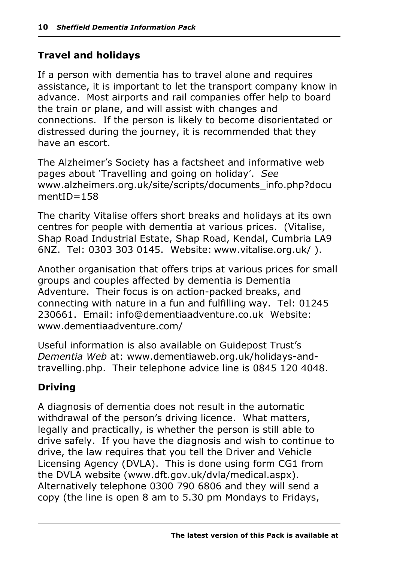#### **Travel and holidays**

If a person with dementia has to travel alone and requires assistance, it is important to let the transport company know in advance. Most airports and rail companies offer help to board the train or plane, and will assist with changes and connections. If the person is likely to become disorientated or distressed during the journey, it is recommended that they have an escort.

The Alzheimer's Society has a factsheet and informative web pages about 'Travelling and going on holiday'. *See* www.alzheimers.org.uk/site/scripts/documents\_info.php?docu mentID=158

The charity Vitalise offers short breaks and holidays at its own centres for people with dementia at various prices. (Vitalise, Shap Road Industrial Estate, Shap Road, Kendal, Cumbria LA9 6NZ. Tel: 0303 303 0145. Website: www.vitalise.org.uk/ ).

Another organisation that offers trips at various prices for small groups and couples affected by dementia is Dementia Adventure. Their focus is on action-packed breaks, and connecting with nature in a fun and fulfilling way. Tel: 01245 230661. Email: info@dementiaadventure.co.uk Website: www.dementiaadventure.com/

Useful information is also available on Guidepost Trust's *Dementia Web* at: www.dementiaweb.org.uk/holidays-andtravelling.php. Their telephone advice line is 0845 120 4048.

#### **Driving**

A diagnosis of dementia does not result in the automatic withdrawal of the person's driving licence. What matters, legally and practically, is whether the person is still able to drive safely. If you have the diagnosis and wish to continue to drive, the law requires that you tell the Driver and Vehicle Licensing Agency (DVLA). This is done using form CG1 from the DVLA website (www.dft.gov.uk/dvla/medical.aspx). Alternatively telephone 0300 790 6806 and they will send a copy (the line is open 8 am to 5.30 pm Mondays to Fridays,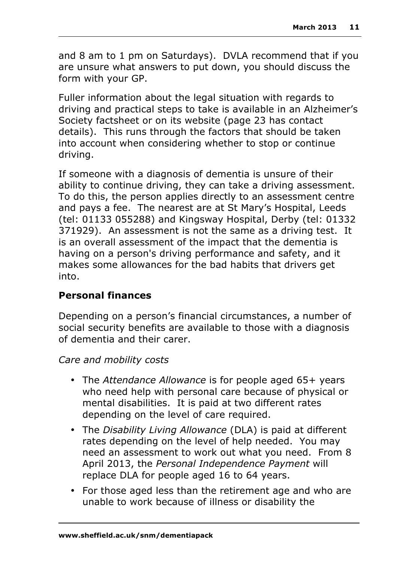and 8 am to 1 pm on Saturdays). DVLA recommend that if you are unsure what answers to put down, you should discuss the form with your GP.

Fuller information about the legal situation with regards to driving and practical steps to take is available in an Alzheimer's Society factsheet or on its website (page 23 has contact details). This runs through the factors that should be taken into account when considering whether to stop or continue driving.

If someone with a diagnosis of dementia is unsure of their ability to continue driving, they can take a driving assessment. To do this, the person applies directly to an assessment centre and pays a fee. The nearest are at St Mary's Hospital, Leeds (tel: 01133 055288) and Kingsway Hospital, Derby (tel: 01332 371929). An assessment is not the same as a driving test. It is an overall assessment of the impact that the dementia is having on a person's driving performance and safety, and it makes some allowances for the bad habits that drivers get into.

#### **Personal finances**

Depending on a person's financial circumstances, a number of social security benefits are available to those with a diagnosis of dementia and their carer.

#### *Care and mobility costs*

- The *Attendance Allowance* is for people aged 65+ years who need help with personal care because of physical or mental disabilities. It is paid at two different rates depending on the level of care required.
- The *Disability Living Allowance* (DLA) is paid at different rates depending on the level of help needed. You may need an assessment to work out what you need. From 8 April 2013, the *Personal Independence Payment* will replace DLA for people aged 16 to 64 years.
- For those aged less than the retirement age and who are unable to work because of illness or disability the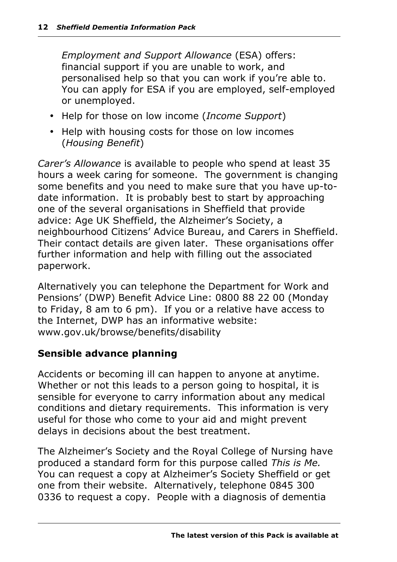*Employment and Support Allowance* (ESA) offers: financial support if you are unable to work, and personalised help so that you can work if you're able to. You can apply for ESA if you are employed, self-employed or unemployed.

- Help for those on low income (*Income Support*)
- Help with housing costs for those on low incomes (*Housing Benefit*)

*Carer's Allowance* is available to people who spend at least 35 hours a week caring for someone. The government is changing some benefits and you need to make sure that you have up-todate information. It is probably best to start by approaching one of the several organisations in Sheffield that provide advice: Age UK Sheffield, the Alzheimer's Society, a neighbourhood Citizens' Advice Bureau, and Carers in Sheffield. Their contact details are given later. These organisations offer further information and help with filling out the associated paperwork.

Alternatively you can telephone the Department for Work and Pensions' (DWP) Benefit Advice Line: 0800 88 22 00 (Monday to Friday, 8 am to 6 pm). If you or a relative have access to the Internet, DWP has an informative website: www.gov.uk/browse/benefits/disability

#### **Sensible advance planning**

Accidents or becoming ill can happen to anyone at anytime. Whether or not this leads to a person going to hospital, it is sensible for everyone to carry information about any medical conditions and dietary requirements. This information is very useful for those who come to your aid and might prevent delays in decisions about the best treatment.

The Alzheimer's Society and the Royal College of Nursing have produced a standard form for this purpose called *This is Me.*  You can request a copy at Alzheimer's Society Sheffield or get one from their website. Alternatively, telephone 0845 300 0336 to request a copy. People with a diagnosis of dementia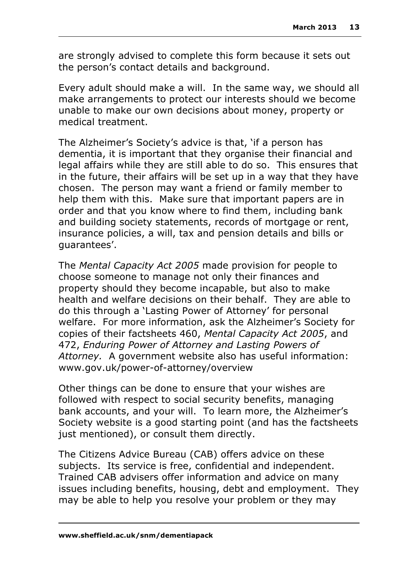are strongly advised to complete this form because it sets out the person's contact details and background.

Every adult should make a will. In the same way, we should all make arrangements to protect our interests should we become unable to make our own decisions about money, property or medical treatment.

The Alzheimer's Society's advice is that, 'if a person has dementia, it is important that they organise their financial and legal affairs while they are still able to do so. This ensures that in the future, their affairs will be set up in a way that they have chosen. The person may want a friend or family member to help them with this. Make sure that important papers are in order and that you know where to find them, including bank and building society statements, records of mortgage or rent, insurance policies, a will, tax and pension details and bills or guarantees'.

The *Mental Capacity Act 2005* made provision for people to choose someone to manage not only their finances and property should they become incapable, but also to make health and welfare decisions on their behalf. They are able to do this through a 'Lasting Power of Attorney' for personal welfare. For more information, ask the Alzheimer's Society for copies of their factsheets 460, *Mental Capacity Act 2005*, and 472, *Enduring Power of Attorney and Lasting Powers of Attorney.* A government website also has useful information: www.gov.uk/power-of-attorney/overview

Other things can be done to ensure that your wishes are followed with respect to social security benefits, managing bank accounts, and your will. To learn more, the Alzheimer's Society website is a good starting point (and has the factsheets just mentioned), or consult them directly.

The Citizens Advice Bureau (CAB) offers advice on these subjects. Its service is free, confidential and independent. Trained CAB advisers offer information and advice on many issues including benefits, housing, debt and employment. They may be able to help you resolve your problem or they may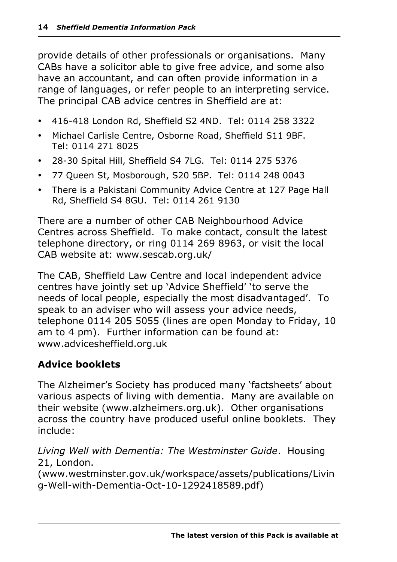provide details of other professionals or organisations. Many CABs have a solicitor able to give free advice, and some also have an accountant, and can often provide information in a range of languages, or refer people to an interpreting service. The principal CAB advice centres in Sheffield are at:

- 416-418 London Rd, Sheffield S2 4ND. Tel: 0114 258 3322
- Michael Carlisle Centre, Osborne Road, Sheffield S11 9BF. Tel: 0114 271 8025
- 28-30 Spital Hill, Sheffield S4 7LG. Tel: 0114 275 5376
- 77 Queen St, Mosborough, S20 5BP. Tel: 0114 248 0043
- There is a Pakistani Community Advice Centre at 127 Page Hall Rd, Sheffield S4 8GU. Tel: 0114 261 9130

There are a number of other CAB Neighbourhood Advice Centres across Sheffield. To make contact, consult the latest telephone directory, or ring 0114 269 8963, or visit the local CAB website at: www.sescab.org.uk/

The CAB, Sheffield Law Centre and local independent advice centres have jointly set up 'Advice Sheffield' 'to serve the needs of local people, especially the most disadvantaged'. To speak to an adviser who will assess your advice needs, telephone 0114 205 5055 (lines are open Monday to Friday, 10 am to 4 pm). Further information can be found at: www.advicesheffield.org.uk

#### **Advice booklets**

The Alzheimer's Society has produced many 'factsheets' about various aspects of living with dementia. Many are available on their website (www.alzheimers.org.uk). Other organisations across the country have produced useful online booklets. They include:

#### *Living Well with Dementia: The Westminster Guide*. Housing 21, London.

(www.westminster.gov.uk/workspace/assets/publications/Livin g-Well-with-Dementia-Oct-10-1292418589.pdf)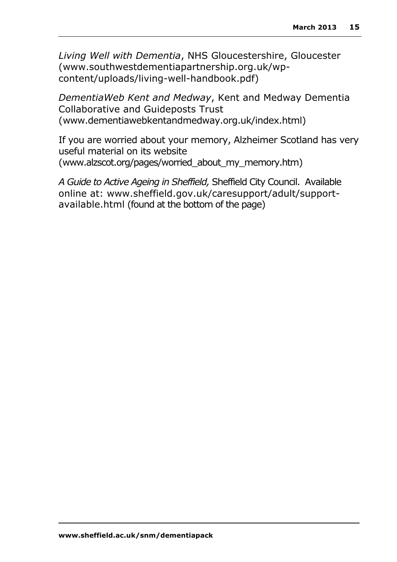*Living Well with Dementia*, NHS Gloucestershire, Gloucester (www.southwestdementiapartnership.org.uk/wpcontent/uploads/living-well-handbook.pdf)

*DementiaWeb Kent and Medway*, Kent and Medway Dementia Collaborative and Guideposts Trust (www.dementiawebkentandmedway.org.uk/index.html)

If you are worried about your memory, Alzheimer Scotland has very useful material on its website (www.alzscot.org/pages/worried\_about\_my\_memory.htm)

*A Guide to Active Ageing in Sheffield,* Sheffield City Council. Available online at: www.sheffield.gov.uk/caresupport/adult/supportavailable.html (found at the bottom of the page)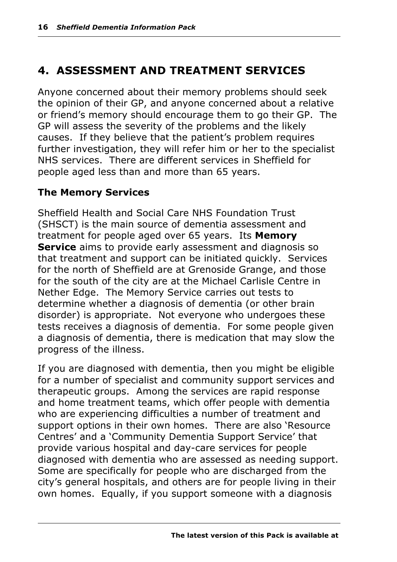## **4. ASSESSMENT AND TREATMENT SERVICES**

Anyone concerned about their memory problems should seek the opinion of their GP, and anyone concerned about a relative or friend's memory should encourage them to go their GP. The GP will assess the severity of the problems and the likely causes. If they believe that the patient's problem requires further investigation, they will refer him or her to the specialist NHS services. There are different services in Sheffield for people aged less than and more than 65 years.

#### **The Memory Services**

Sheffield Health and Social Care NHS Foundation Trust (SHSCT) is the main source of dementia assessment and treatment for people aged over 65 years. Its **Memory Service** aims to provide early assessment and diagnosis so that treatment and support can be initiated quickly. Services for the north of Sheffield are at Grenoside Grange, and those for the south of the city are at the Michael Carlisle Centre in Nether Edge. The Memory Service carries out tests to determine whether a diagnosis of dementia (or other brain disorder) is appropriate. Not everyone who undergoes these tests receives a diagnosis of dementia. For some people given a diagnosis of dementia, there is medication that may slow the progress of the illness.

If you are diagnosed with dementia, then you might be eligible for a number of specialist and community support services and therapeutic groups. Among the services are rapid response and home treatment teams, which offer people with dementia who are experiencing difficulties a number of treatment and support options in their own homes. There are also 'Resource Centres' and a 'Community Dementia Support Service' that provide various hospital and day-care services for people diagnosed with dementia who are assessed as needing support. Some are specifically for people who are discharged from the city's general hospitals, and others are for people living in their own homes. Equally, if you support someone with a diagnosis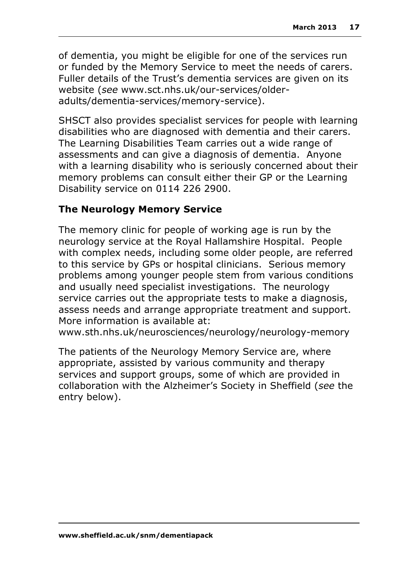of dementia, you might be eligible for one of the services run or funded by the Memory Service to meet the needs of carers. Fuller details of the Trust's dementia services are given on its website (*see* www.sct.nhs.uk/our-services/olderadults/dementia-services/memory-service).

SHSCT also provides specialist services for people with learning disabilities who are diagnosed with dementia and their carers. The Learning Disabilities Team carries out a wide range of assessments and can give a diagnosis of dementia. Anyone with a learning disability who is seriously concerned about their memory problems can consult either their GP or the Learning Disability service on 0114 226 2900.

#### **The Neurology Memory Service**

The memory clinic for people of working age is run by the neurology service at the Royal Hallamshire Hospital. People with complex needs, including some older people, are referred to this service by GPs or hospital clinicians. Serious memory problems among younger people stem from various conditions and usually need specialist investigations. The neurology service carries out the appropriate tests to make a diagnosis, assess needs and arrange appropriate treatment and support. More information is available at:

www.sth.nhs.uk/neurosciences/neurology/neurology-memory

The patients of the Neurology Memory Service are, where appropriate, assisted by various community and therapy services and support groups, some of which are provided in collaboration with the Alzheimer's Society in Sheffield (*see* the entry below).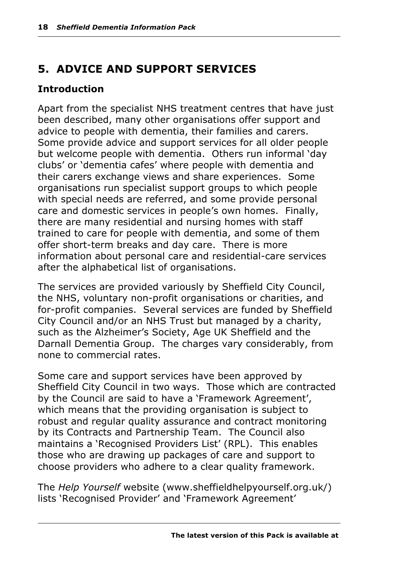## **5. ADVICE AND SUPPORT SERVICES**

#### **Introduction**

Apart from the specialist NHS treatment centres that have just been described, many other organisations offer support and advice to people with dementia, their families and carers. Some provide advice and support services for all older people but welcome people with dementia. Others run informal 'day clubs' or 'dementia cafes' where people with dementia and their carers exchange views and share experiences. Some organisations run specialist support groups to which people with special needs are referred, and some provide personal care and domestic services in people's own homes. Finally, there are many residential and nursing homes with staff trained to care for people with dementia, and some of them offer short-term breaks and day care. There is more information about personal care and residential-care services after the alphabetical list of organisations.

The services are provided variously by Sheffield City Council, the NHS, voluntary non-profit organisations or charities, and for-profit companies. Several services are funded by Sheffield City Council and/or an NHS Trust but managed by a charity, such as the Alzheimer's Society, Age UK Sheffield and the Darnall Dementia Group. The charges vary considerably, from none to commercial rates.

Some care and support services have been approved by Sheffield City Council in two ways. Those which are contracted by the Council are said to have a 'Framework Agreement', which means that the providing organisation is subject to robust and regular quality assurance and contract monitoring by its Contracts and Partnership Team. The Council also maintains a 'Recognised Providers List' (RPL). This enables those who are drawing up packages of care and support to choose providers who adhere to a clear quality framework.

The *Help Yourself* website (www.sheffieldhelpyourself.org.uk/) lists 'Recognised Provider' and 'Framework Agreement'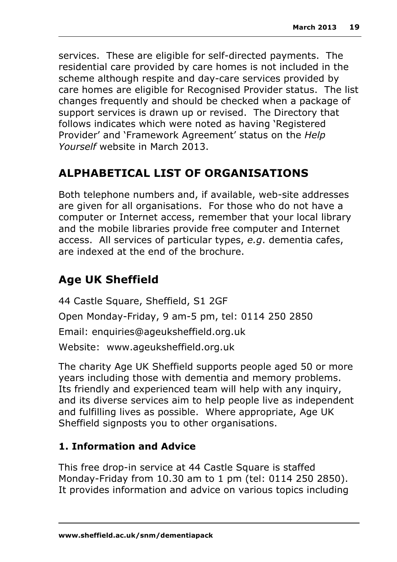services. These are eligible for self-directed payments. The residential care provided by care homes is not included in the scheme although respite and day-care services provided by care homes are eligible for Recognised Provider status. The list changes frequently and should be checked when a package of support services is drawn up or revised. The Directory that follows indicates which were noted as having 'Registered Provider' and 'Framework Agreement' status on the *Help Yourself* website in March 2013.

## **ALPHABETICAL LIST OF ORGANISATIONS**

Both telephone numbers and, if available, web-site addresses are given for all organisations. For those who do not have a computer or Internet access, remember that your local library and the mobile libraries provide free computer and Internet access. All services of particular types, *e.g*. dementia cafes, are indexed at the end of the brochure.

## **Age UK Sheffield**

44 Castle Square, Sheffield, S1 2GF Open Monday-Friday, 9 am-5 pm, tel: 0114 250 2850 Email: enquiries@ageuksheffield.org.uk Website: www.ageuksheffield.org.uk

The charity Age UK Sheffield supports people aged 50 or more years including those with dementia and memory problems. Its friendly and experienced team will help with any inquiry, and its diverse services aim to help people live as independent and fulfilling lives as possible. Where appropriate, Age UK Sheffield signposts you to other organisations.

### **1. Information and Advice**

This free drop-in service at 44 Castle Square is staffed Monday-Friday from 10.30 am to 1 pm (tel: 0114 250 2850). It provides information and advice on various topics including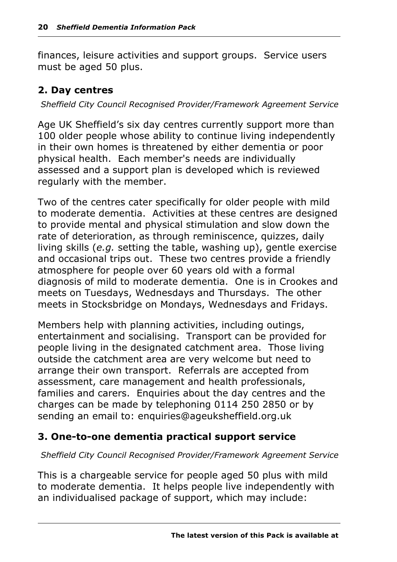finances, leisure activities and support groups. Service users must be aged 50 plus.

#### **2. Day centres**

*Sheffield City Council Recognised Provider/Framework Agreement Service*

Age UK Sheffield's six day centres currently support more than 100 older people whose ability to continue living independently in their own homes is threatened by either dementia or poor physical health. Each member's needs are individually assessed and a support plan is developed which is reviewed regularly with the member.

Two of the centres cater specifically for older people with mild to moderate dementia. Activities at these centres are designed to provide mental and physical stimulation and slow down the rate of deterioration, as through reminiscence, quizzes, daily living skills (*e.g.* setting the table, washing up), gentle exercise and occasional trips out. These two centres provide a friendly atmosphere for people over 60 years old with a formal diagnosis of mild to moderate dementia. One is in Crookes and meets on Tuesdays, Wednesdays and Thursdays. The other meets in Stocksbridge on Mondays, Wednesdays and Fridays.

Members help with planning activities, including outings, entertainment and socialising. Transport can be provided for people living in the designated catchment area. Those living outside the catchment area are very welcome but need to arrange their own transport. Referrals are accepted from assessment, care management and health professionals, families and carers. Enquiries about the day centres and the charges can be made by telephoning 0114 250 2850 or by sending an email to: enquiries@ageuksheffield.org.uk

#### **3. One-to-one dementia practical support service**

#### *Sheffield City Council Recognised Provider/Framework Agreement Service*

This is a chargeable service for people aged 50 plus with mild to moderate dementia. It helps people live independently with an individualised package of support, which may include: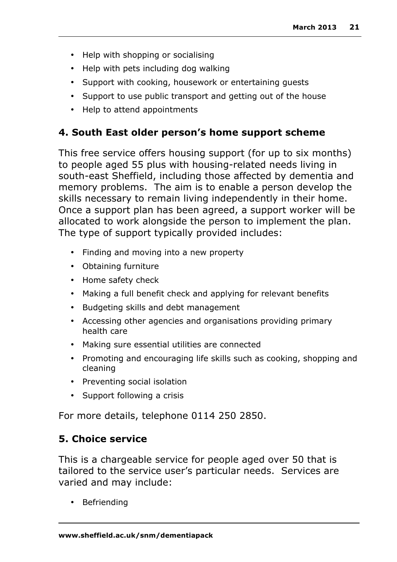- Help with shopping or socialising
- Help with pets including dog walking
- Support with cooking, housework or entertaining guests
- Support to use public transport and getting out of the house
- Help to attend appointments

#### **4. South East older person's home support scheme**

This free service offers housing support (for up to six months) to people aged 55 plus with housing-related needs living in south-east Sheffield, including those affected by dementia and memory problems. The aim is to enable a person develop the skills necessary to remain living independently in their home. Once a support plan has been agreed, a support worker will be allocated to work alongside the person to implement the plan. The type of support typically provided includes:

- Finding and moving into a new property
- Obtaining furniture
- Home safety check
- Making a full benefit check and applying for relevant benefits
- Budgeting skills and debt management
- Accessing other agencies and organisations providing primary health care
- Making sure essential utilities are connected
- Promoting and encouraging life skills such as cooking, shopping and cleaning
- Preventing social isolation
- Support following a crisis

For more details, telephone 0114 250 2850.

#### **5. Choice service**

This is a chargeable service for people aged over 50 that is tailored to the service user's particular needs. Services are varied and may include:

• Befriending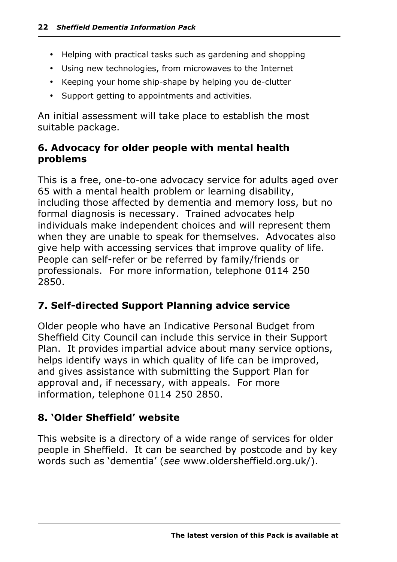- Helping with practical tasks such as gardening and shopping
- Using new technologies, from microwaves to the Internet
- Keeping your home ship-shape by helping you de-clutter
- Support getting to appointments and activities.

An initial assessment will take place to establish the most suitable package.

#### **6. Advocacy for older people with mental health problems**

This is a free, one-to-one advocacy service for adults aged over 65 with a mental health problem or learning disability, including those affected by dementia and memory loss, but no formal diagnosis is necessary. Trained advocates help individuals make independent choices and will represent them when they are unable to speak for themselves. Advocates also give help with accessing services that improve quality of life. People can self-refer or be referred by family/friends or professionals. For more information, telephone 0114 250 2850.

#### **7. Self-directed Support Planning advice service**

Older people who have an Indicative Personal Budget from Sheffield City Council can include this service in their Support Plan. It provides impartial advice about many service options, helps identify ways in which quality of life can be improved, and gives assistance with submitting the Support Plan for approval and, if necessary, with appeals. For more information, telephone 0114 250 2850.

#### **8. 'Older Sheffield' website**

This website is a directory of a wide range of services for older people in Sheffield. It can be searched by postcode and by key words such as 'dementia' (*see* www.oldersheffield.org.uk/).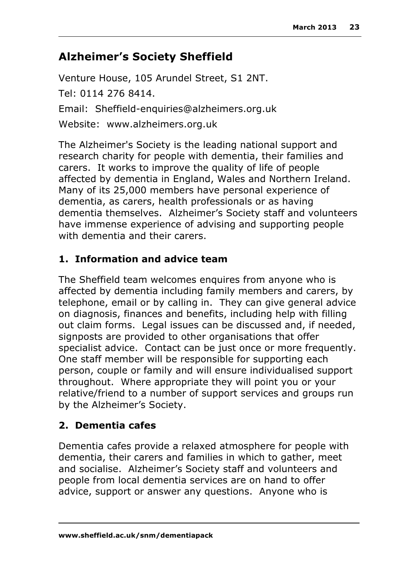## **Alzheimer's Society Sheffield**

Venture House, 105 Arundel Street, S1 2NT. Tel: 0114 276 8414. Email: Sheffield-enquiries@alzheimers.org.uk Website: www.alzheimers.org.uk

The Alzheimer's Society is the leading national support and research charity for people with dementia, their families and carers. It works to improve the quality of life of people affected by dementia in England, Wales and Northern Ireland. Many of its 25,000 members have personal experience of dementia, as carers, health professionals or as having dementia themselves. Alzheimer's Society staff and volunteers have immense experience of advising and supporting people with dementia and their carers.

#### **1. Information and advice team**

The Sheffield team welcomes enquires from anyone who is affected by dementia including family members and carers, by telephone, email or by calling in. They can give general advice on diagnosis, finances and benefits, including help with filling out claim forms. Legal issues can be discussed and, if needed, signposts are provided to other organisations that offer specialist advice. Contact can be just once or more frequently. One staff member will be responsible for supporting each person, couple or family and will ensure individualised support throughout. Where appropriate they will point you or your relative/friend to a number of support services and groups run by the Alzheimer's Society.

#### **2. Dementia cafes**

Dementia cafes provide a relaxed atmosphere for people with dementia, their carers and families in which to gather, meet and socialise. Alzheimer's Society staff and volunteers and people from local dementia services are on hand to offer advice, support or answer any questions. Anyone who is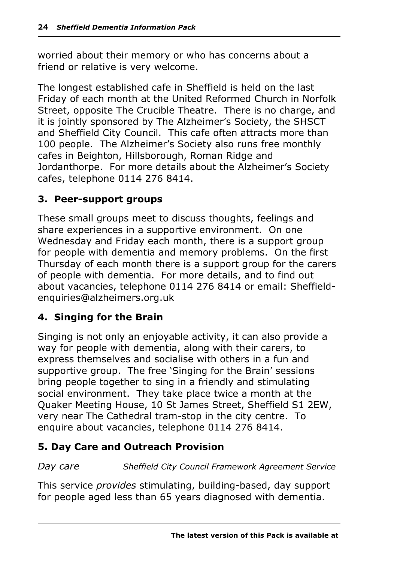worried about their memory or who has concerns about a friend or relative is very welcome.

The longest established cafe in Sheffield is held on the last Friday of each month at the United Reformed Church in Norfolk Street, opposite The Crucible Theatre. There is no charge, and it is jointly sponsored by The Alzheimer's Society, the SHSCT and Sheffield City Council. This cafe often attracts more than 100 people. The Alzheimer's Society also runs free monthly cafes in Beighton, Hillsborough, Roman Ridge and Jordanthorpe. For more details about the Alzheimer's Society cafes, telephone 0114 276 8414.

#### **3. Peer-support groups**

These small groups meet to discuss thoughts, feelings and share experiences in a supportive environment. On one Wednesday and Friday each month, there is a support group for people with dementia and memory problems. On the first Thursday of each month there is a support group for the carers of people with dementia. For more details, and to find out about vacancies, telephone 0114 276 8414 or email: Sheffieldenquiries@alzheimers.org.uk

#### **4. Singing for the Brain**

Singing is not only an enjoyable activity, it can also provide a way for people with dementia, along with their carers, to express themselves and socialise with others in a fun and supportive group. The free 'Singing for the Brain' sessions bring people together to sing in a friendly and stimulating social environment. They take place twice a month at the Quaker Meeting House, 10 St James Street, Sheffield S1 2EW, very near The Cathedral tram-stop in the city centre. To enquire about vacancies, telephone 0114 276 8414.

#### **5. Day Care and Outreach Provision**

*Day care Sheffield City Council Framework Agreement Service*

This service *provides* stimulating, building-based, day support for people aged less than 65 years diagnosed with dementia.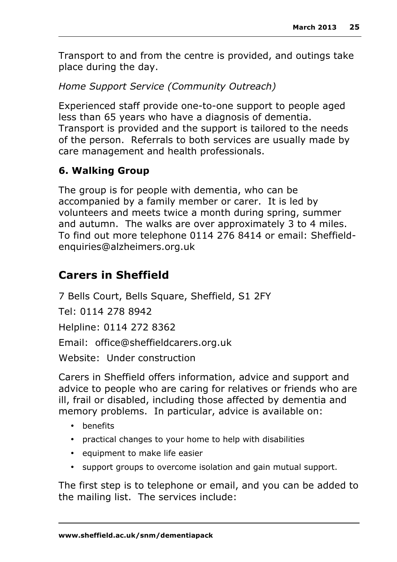Transport to and from the centre is provided, and outings take place during the day.

*Home Support Service (Community Outreach)*

Experienced staff provide one-to-one support to people aged less than 65 years who have a diagnosis of dementia. Transport is provided and the support is tailored to the needs of the person. Referrals to both services are usually made by care management and health professionals.

## **6. Walking Group**

The group is for people with dementia, who can be accompanied by a family member or carer. It is led by volunteers and meets twice a month during spring, summer and autumn. The walks are over approximately 3 to 4 miles. To find out more telephone 0114 276 8414 or email: Sheffieldenquiries@alzheimers.org.uk

## **Carers in Sheffield**

7 Bells Court, Bells Square, Sheffield, S1 2FY

Tel: 0114 278 8942

Helpline: 0114 272 8362

Email: office@sheffieldcarers.org.uk

Website: Under construction

Carers in Sheffield offers information, advice and support and advice to people who are caring for relatives or friends who are ill, frail or disabled, including those affected by dementia and memory problems. In particular, advice is available on:

- benefits
- practical changes to your home to help with disabilities
- equipment to make life easier
- support groups to overcome isolation and gain mutual support.

The first step is to telephone or email, and you can be added to the mailing list. The services include: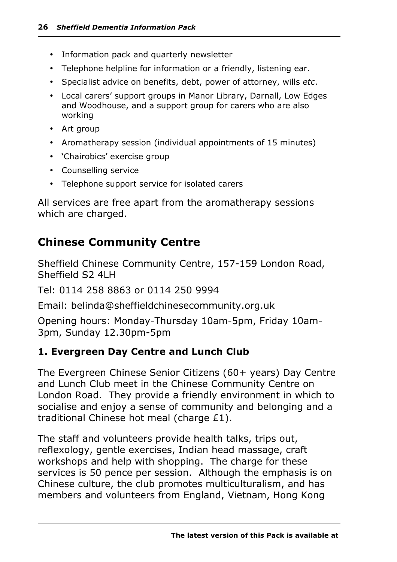- Information pack and quarterly newsletter
- Telephone helpline for information or a friendly, listening ear.
- Specialist advice on benefits, debt, power of attorney, wills *etc*.
- Local carers' support groups in Manor Library, Darnall, Low Edges and Woodhouse, and a support group for carers who are also working
- Art group
- Aromatherapy session (individual appointments of 15 minutes)
- 'Chairobics' exercise group
- Counselling service
- Telephone support service for isolated carers

All services are free apart from the aromatherapy sessions which are charged.

#### **Chinese Community Centre**

Sheffield Chinese Community Centre, 157-159 London Road, Sheffield S2 4LH

Tel: 0114 258 8863 or 0114 250 9994

Email: belinda@sheffieldchinesecommunity.org.uk

Opening hours: Monday-Thursday 10am-5pm, Friday 10am-3pm, Sunday 12.30pm-5pm

#### **1. Evergreen Day Centre and Lunch Club**

The Evergreen Chinese Senior Citizens (60+ years) Day Centre and Lunch Club meet in the Chinese Community Centre on London Road. They provide a friendly environment in which to socialise and enjoy a sense of community and belonging and a traditional Chinese hot meal (charge £1).

The staff and volunteers provide health talks, trips out, reflexology, gentle exercises, Indian head massage, craft workshops and help with shopping. The charge for these services is 50 pence per session. Although the emphasis is on Chinese culture, the club promotes multiculturalism, and has members and volunteers from England, Vietnam, Hong Kong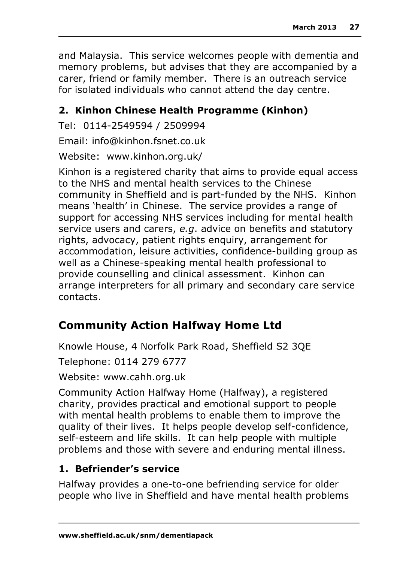and Malaysia. This service welcomes people with dementia and memory problems, but advises that they are accompanied by a carer, friend or family member. There is an outreach service for isolated individuals who cannot attend the day centre.

## **2. Kinhon Chinese Health Programme (Kinhon)**

Tel: 0114-2549594 / 2509994

Email: info@kinhon.fsnet.co.uk

Website: www.kinhon.org.uk/

Kinhon is a registered charity that aims to provide equal access to the NHS and mental health services to the Chinese community in Sheffield and is part-funded by the NHS. Kinhon means 'health' in Chinese. The service provides a range of support for accessing NHS services including for mental health service users and carers, *e.g*. advice on benefits and statutory rights, advocacy, patient rights enquiry, arrangement for accommodation, leisure activities, confidence-building group as well as a Chinese-speaking mental health professional to provide counselling and clinical assessment. Kinhon can arrange interpreters for all primary and secondary care service contacts.

## **Community Action Halfway Home Ltd**

Knowle House, 4 Norfolk Park Road, Sheffield S2 3QE

Telephone: 0114 279 6777

Website: www.cahh.org.uk

Community Action Halfway Home (Halfway), a registered charity, provides practical and emotional support to people with mental health problems to enable them to improve the quality of their lives. It helps people develop self-confidence, self-esteem and life skills. It can help people with multiple problems and those with severe and enduring mental illness.

## **1. Befriender's service**

Halfway provides a one-to-one befriending service for older people who live in Sheffield and have mental health problems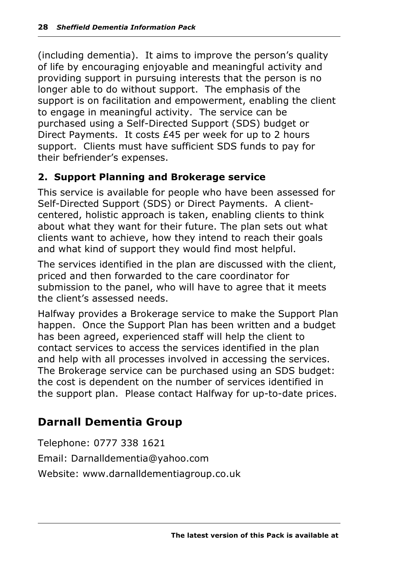(including dementia). It aims to improve the person's quality of life by encouraging enjoyable and meaningful activity and providing support in pursuing interests that the person is no longer able to do without support. The emphasis of the support is on facilitation and empowerment, enabling the client to engage in meaningful activity. The service can be purchased using a Self-Directed Support (SDS) budget or Direct Payments. It costs £45 per week for up to 2 hours support. Clients must have sufficient SDS funds to pay for their befriender's expenses.

#### **2. Support Planning and Brokerage service**

This service is available for people who have been assessed for Self-Directed Support (SDS) or Direct Payments. A clientcentered, holistic approach is taken, enabling clients to think about what they want for their future. The plan sets out what clients want to achieve, how they intend to reach their goals and what kind of support they would find most helpful.

The services identified in the plan are discussed with the client, priced and then forwarded to the care coordinator for submission to the panel, who will have to agree that it meets the client's assessed needs.

Halfway provides a Brokerage service to make the Support Plan happen. Once the Support Plan has been written and a budget has been agreed, experienced staff will help the client to contact services to access the services identified in the plan and help with all processes involved in accessing the services. The Brokerage service can be purchased using an SDS budget: the cost is dependent on the number of services identified in the support plan. Please contact Halfway for up-to-date prices.

## **Darnall Dementia Group**

Telephone: 0777 338 1621 Email: Darnalldementia@yahoo.com Website: www.darnalldementiagroup.co.uk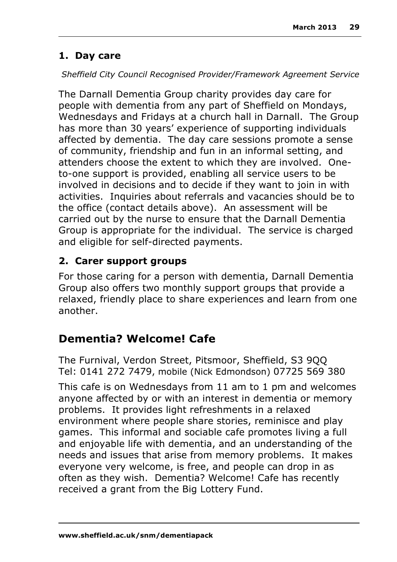#### **1. Day care**

#### *Sheffield City Council Recognised Provider/Framework Agreement Service*

The Darnall Dementia Group charity provides day care for people with dementia from any part of Sheffield on Mondays, Wednesdays and Fridays at a church hall in Darnall. The Group has more than 30 years' experience of supporting individuals affected by dementia. The day care sessions promote a sense of community, friendship and fun in an informal setting, and attenders choose the extent to which they are involved. Oneto-one support is provided, enabling all service users to be involved in decisions and to decide if they want to join in with activities. Inquiries about referrals and vacancies should be to the office (contact details above). An assessment will be carried out by the nurse to ensure that the Darnall Dementia Group is appropriate for the individual. The service is charged and eligible for self-directed payments.

#### **2. Carer support groups**

For those caring for a person with dementia, Darnall Dementia Group also offers two monthly support groups that provide a relaxed, friendly place to share experiences and learn from one another.

## **Dementia? Welcome! Cafe**

The Furnival, Verdon Street, Pitsmoor, Sheffield, S3 9QQ Tel: 0141 272 7479, mobile (Nick Edmondson) 07725 569 380

This cafe is on Wednesdays from 11 am to 1 pm and welcomes anyone affected by or with an interest in dementia or memory problems. It provides light refreshments in a relaxed environment where people share stories, reminisce and play games. This informal and sociable cafe promotes living a full and enjoyable life with dementia, and an understanding of the needs and issues that arise from memory problems. It makes everyone very welcome, is free, and people can drop in as often as they wish. Dementia? Welcome! Cafe has recently received a grant from the Big Lottery Fund.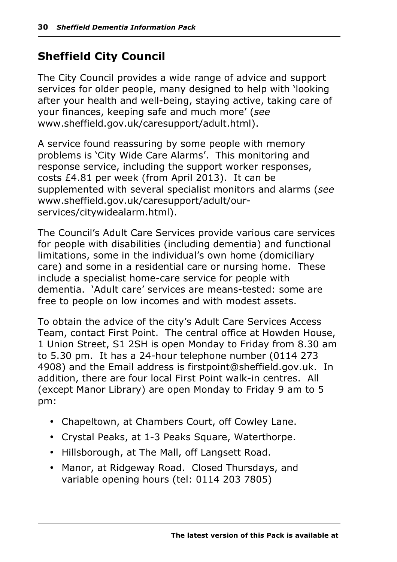## **Sheffield City Council**

The City Council provides a wide range of advice and support services for older people, many designed to help with 'looking after your health and well-being, staying active, taking care of your finances, keeping safe and much more' (*see* www.sheffield.gov.uk/caresupport/adult.html).

A service found reassuring by some people with memory problems is 'City Wide Care Alarms'. This monitoring and response service, including the support worker responses, costs £4.81 per week (from April 2013). It can be supplemented with several specialist monitors and alarms (*see* www.sheffield.gov.uk/caresupport/adult/ourservices/citywidealarm.html).

The Council's Adult Care Services provide various care services for people with disabilities (including dementia) and functional limitations, some in the individual's own home (domiciliary care) and some in a residential care or nursing home. These include a specialist home-care service for people with dementia. 'Adult care' services are means-tested: some are free to people on low incomes and with modest assets.

To obtain the advice of the city's Adult Care Services Access Team, contact First Point. The central office at Howden House, 1 Union Street, S1 2SH is open Monday to Friday from 8.30 am to 5.30 pm. It has a 24-hour telephone number (0114 273 4908) and the Email address is firstpoint@sheffield.gov.uk. In addition, there are four local First Point walk-in centres. All (except Manor Library) are open Monday to Friday 9 am to 5 pm:

- Chapeltown, at Chambers Court, off Cowley Lane.
- Crystal Peaks, at 1-3 Peaks Square, Waterthorpe.
- Hillsborough, at The Mall, off Langsett Road.
- Manor, at Ridgeway Road. Closed Thursdays, and variable opening hours (tel: 0114 203 7805)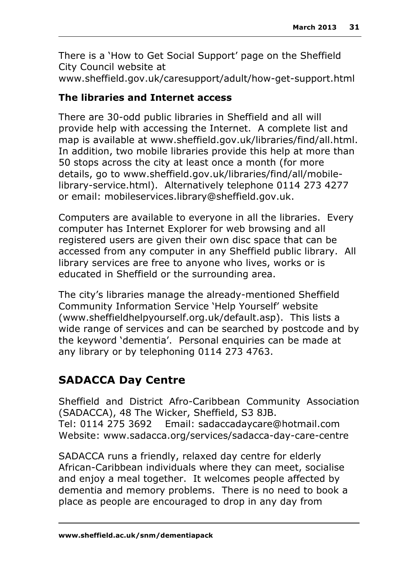There is a 'How to Get Social Support' page on the Sheffield City Council website at www.sheffield.gov.uk/caresupport/adult/how-get-support.html

#### **The libraries and Internet access**

There are 30-odd public libraries in Sheffield and all will provide help with accessing the Internet. A complete list and map is available at www.sheffield.gov.uk/libraries/find/all.html. In addition, two mobile libraries provide this help at more than 50 stops across the city at least once a month (for more details, go to www.sheffield.gov.uk/libraries/find/all/mobilelibrary-service.html). Alternatively telephone 0114 273 4277 or email: mobileservices.library@sheffield.gov.uk.

Computers are available to everyone in all the libraries. Every computer has Internet Explorer for web browsing and all registered users are given their own disc space that can be accessed from any computer in any Sheffield public library. All library services are free to anyone who lives, works or is educated in Sheffield or the surrounding area.

The city's libraries manage the already-mentioned Sheffield Community Information Service 'Help Yourself' website (www.sheffieldhelpyourself.org.uk/default.asp). This lists a wide range of services and can be searched by postcode and by the keyword 'dementia'. Personal enquiries can be made at any library or by telephoning 0114 273 4763.

## **SADACCA Day Centre**

Sheffield and District Afro-Caribbean Community Association (SADACCA), 48 The Wicker, Sheffield, S3 8JB. Tel: 0114 275 3692 Email: sadaccadaycare@hotmail.com Website: www.sadacca.org/services/sadacca-day-care-centre

SADACCA runs a friendly, relaxed day centre for elderly African-Caribbean individuals where they can meet, socialise and enjoy a meal together. It welcomes people affected by dementia and memory problems. There is no need to book a place as people are encouraged to drop in any day from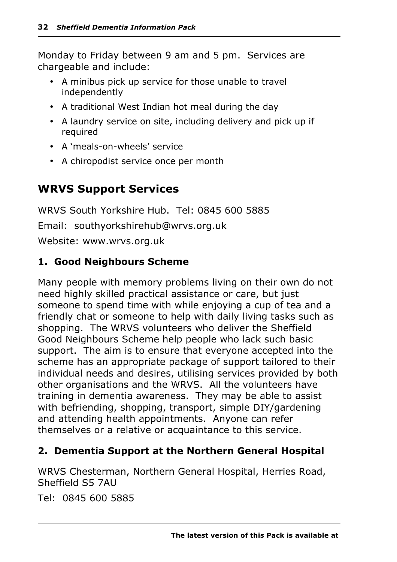Monday to Friday between 9 am and 5 pm. Services are chargeable and include:

- A minibus pick up service for those unable to travel independently
- A traditional West Indian hot meal during the day
- A laundry service on site, including delivery and pick up if required
- A 'meals-on-wheels' service
- A chiropodist service once per month

## **WRVS Support Services**

WRVS South Yorkshire Hub. Tel: 0845 600 5885 Email: southyorkshirehub@wrvs.org.uk Website: www.wrvs.org.uk

#### **1. Good Neighbours Scheme**

Many people with memory problems living on their own do not need highly skilled practical assistance or care, but just someone to spend time with while enjoying a cup of tea and a friendly chat or someone to help with daily living tasks such as shopping. The WRVS volunteers who deliver the Sheffield Good Neighbours Scheme help people who lack such basic support. The aim is to ensure that everyone accepted into the scheme has an appropriate package of support tailored to their individual needs and desires, utilising services provided by both other organisations and the WRVS. All the volunteers have training in dementia awareness. They may be able to assist with befriending, shopping, transport, simple DIY/gardening and attending health appointments. Anyone can refer themselves or a relative or acquaintance to this service.

#### **2. Dementia Support at the Northern General Hospital**

WRVS Chesterman, Northern General Hospital, Herries Road, Sheffield S5 7AU

Tel: 0845 600 5885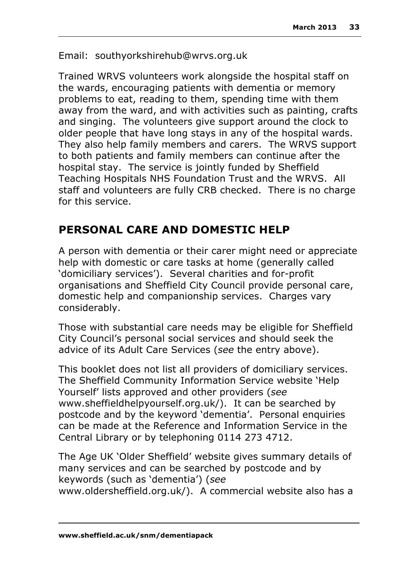Email: southyorkshirehub@wrvs.org.uk

Trained WRVS volunteers work alongside the hospital staff on the wards, encouraging patients with dementia or memory problems to eat, reading to them, spending time with them away from the ward, and with activities such as painting, crafts and singing. The volunteers give support around the clock to older people that have long stays in any of the hospital wards. They also help family members and carers. The WRVS support to both patients and family members can continue after the hospital stay. The service is jointly funded by Sheffield Teaching Hospitals NHS Foundation Trust and the WRVS. All staff and volunteers are fully CRB checked. There is no charge for this service.

## **PERSONAL CARE AND DOMESTIC HELP**

A person with dementia or their carer might need or appreciate help with domestic or care tasks at home (generally called 'domiciliary services'). Several charities and for-profit organisations and Sheffield City Council provide personal care, domestic help and companionship services. Charges vary considerably.

Those with substantial care needs may be eligible for Sheffield City Council's personal social services and should seek the advice of its Adult Care Services (*see* the entry above).

This booklet does not list all providers of domiciliary services. The Sheffield Community Information Service website 'Help Yourself' lists approved and other providers (*see*  www.sheffieldhelpyourself.org.uk/). It can be searched by postcode and by the keyword 'dementia'. Personal enquiries can be made at the Reference and Information Service in the Central Library or by telephoning 0114 273 4712.

The Age UK 'Older Sheffield' website gives summary details of many services and can be searched by postcode and by keywords (such as 'dementia') (*see* www.oldersheffield.org.uk/). A commercial website also has a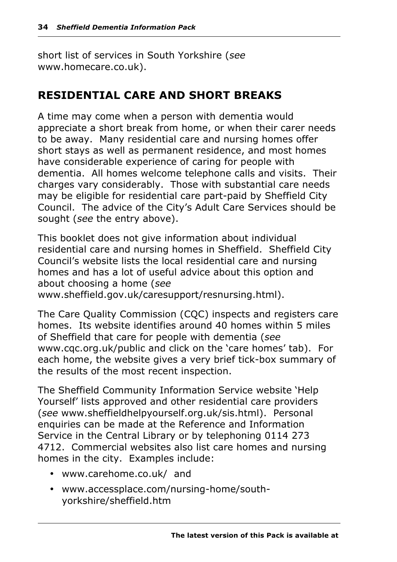short list of services in South Yorkshire (*see* www.homecare.co.uk).

## **RESIDENTIAL CARE AND SHORT BREAKS**

A time may come when a person with dementia would appreciate a short break from home, or when their carer needs to be away. Many residential care and nursing homes offer short stays as well as permanent residence, and most homes have considerable experience of caring for people with dementia. All homes welcome telephone calls and visits. Their charges vary considerably. Those with substantial care needs may be eligible for residential care part-paid by Sheffield City Council. The advice of the City's Adult Care Services should be sought (*see* the entry above).

This booklet does not give information about individual residential care and nursing homes in Sheffield. Sheffield City Council's website lists the local residential care and nursing homes and has a lot of useful advice about this option and about choosing a home (*see*  www.sheffield.gov.uk/caresupport/resnursing.html).

The Care Quality Commission (CQC) inspects and registers care homes. Its website identifies around 40 homes within 5 miles of Sheffield that care for people with dementia (*see* www.cqc.org.uk/public and click on the 'care homes' tab). For each home, the website gives a very brief tick-box summary of the results of the most recent inspection.

The Sheffield Community Information Service website 'Help Yourself' lists approved and other residential care providers (*see* www.sheffieldhelpyourself.org.uk/sis.html). Personal enquiries can be made at the Reference and Information Service in the Central Library or by telephoning 0114 273 4712. Commercial websites also list care homes and nursing homes in the city. Examples include:

- www.carehome.co.uk/ and
- www.accessplace.com/nursing-home/southyorkshire/sheffield.htm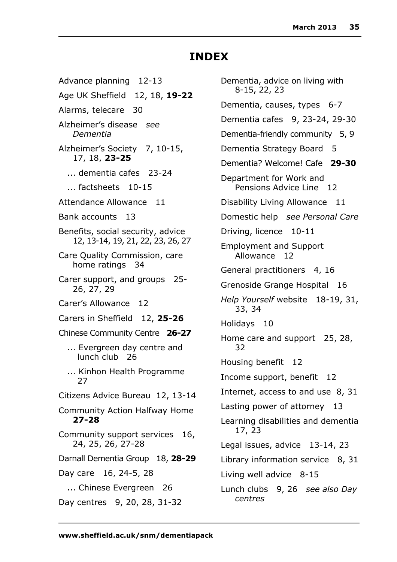## **INDEX**

Advance planning 12-13 Age UK Sheffield 12, 18, **19-22** Alarms, telecare 30 Alzheimer's disease *see Dementia* Alzheimer's Society 7, 10-15, 17, 18, **23-25** ... dementia cafes 23-24 ... factsheets 10-15 Attendance Allowance 11 Bank accounts 13 Benefits, social security, advice 12, 13-14, 19, 21, 22, 23, 26, 27 Care Quality Commission, care home ratings 34 Carer support, and groups 25- 26, 27, 29 Carer's Allowance 12 Carers in Sheffield 12, **25-26** Chinese Community Centre **26-27** ... Evergreen day centre and lunch club 26 ... Kinhon Health Programme 27 Citizens Advice Bureau 12, 13-14 Community Action Halfway Home **27-28** Community support services 16, 24, 25, 26, 27-28 Darnall Dementia Group 18, **28-29** Day care 16, 24-5, 28 ... Chinese Evergreen 26 Day centres 9, 20, 28, 31-32

Dementia, advice on living with 8-15, 22, 23 Dementia, causes, types 6-7 Dementia cafes 9, 23-24, 29-30 Dementia-friendly community 5, 9 Dementia Strategy Board 5 Dementia? Welcome! Cafe **29-30** Department for Work and Pensions Advice Line 12 Disability Living Allowance 11 Domestic help *see Personal Care* Driving, licence 10-11 Employment and Support Allowance 12 General practitioners 4, 16 Grenoside Grange Hospital 16 *Help Yourself* website 18-19, 31, 33, 34 Holidays 10 Home care and support 25, 28, 32 Housing benefit 12 Income support, benefit 12 Internet, access to and use 8, 31 Lasting power of attorney 13 Learning disabilities and dementia 17, 23 Legal issues, advice 13-14, 23 Library information service 8, 31 Living well advice 8-15 Lunch clubs 9, 26 *see also Day centres*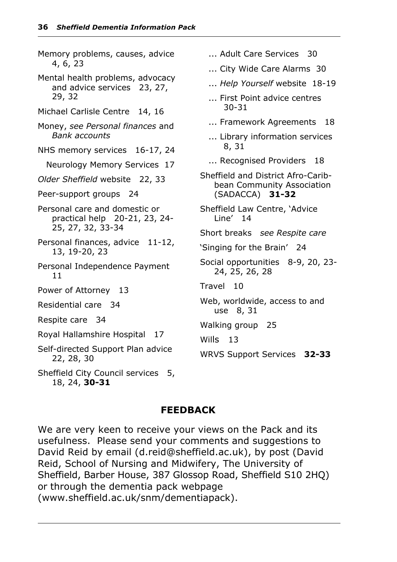Memory problems, causes, advice 4, 6, 23 Mental health problems, advocacy and advice services 23, 27, 29, 32 Michael Carlisle Centre 14, 16 Money, *see Personal finances* and *Bank accounts* NHS memory services 16-17, 24 Neurology Memory Services 17 *Older Sheffield* website 22, 33 Peer-support groups 24 Personal care and domestic or practical help 20-21, 23, 24- 25, 27, 32, 33-34 Personal finances, advice 11-12, 13, 19-20, 23 Personal Independence Payment 11 Power of Attorney 13 Residential care 34 Respite care 34 Royal Hallamshire Hospital 17 Self-directed Support Plan advice 22, 28, 30 Sheffield City Council services 5, 18, 24, **30-31** ... Adult Care Services 30 ... City Wide Care Alarms 30 ... *Help Yourself* website 18-19 ... First Point advice centres 30-31 ... Framework Agreements 18 ... Library information services 8, 31 ... Recognised Providers 18 Sheffield and District Afro-Caribbean Community Association (SADACCA) **31-32** Sheffield Law Centre, 'Advice Line' 14 Short breaks *see Respite care* 'Singing for the Brain' 24 Social opportunities 8-9, 20, 23- 24, 25, 26, 28 Travel 10 Web, worldwide, access to and use 8, 31 Walking group 25 Wills 13 WRVS Support Services **32-33**

#### **FEEDBACK**

We are very keen to receive your views on the Pack and its usefulness. Please send your comments and suggestions to David Reid by email (d.reid@sheffield.ac.uk), by post (David Reid, School of Nursing and Midwifery, The University of Sheffield, Barber House, 387 Glossop Road, Sheffield S10 2HQ) or through the dementia pack webpage (www.sheffield.ac.uk/snm/dementiapack).